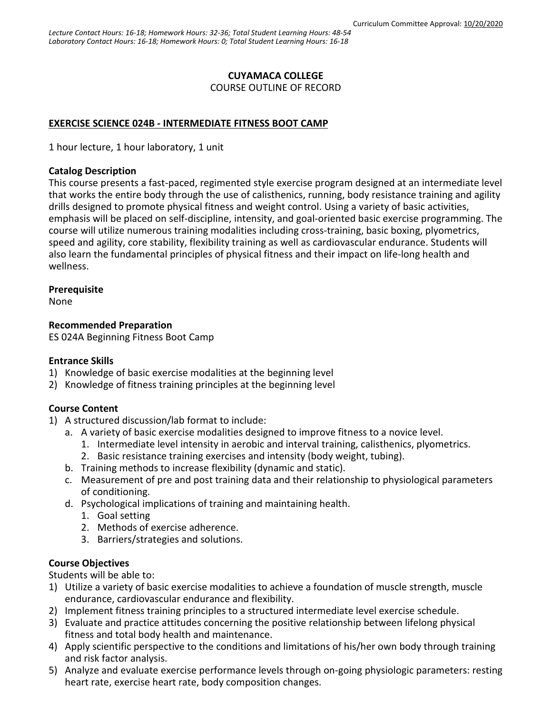# **CUYAMACA COLLEGE**

COURSE OUTLINE OF RECORD

# **EXERCISE SCIENCE 024B - INTERMEDIATE FITNESS BOOT CAMP**

1 hour lecture, 1 hour laboratory, 1 unit

## **Catalog Description**

This course presents a fast-paced, regimented style exercise program designed at an intermediate level that works the entire body through the use of calisthenics, running, body resistance training and agility drills designed to promote physical fitness and weight control. Using a variety of basic activities, emphasis will be placed on self-discipline, intensity, and goal-oriented basic exercise programming. The course will utilize numerous training modalities including cross-training, basic boxing, plyometrics, speed and agility, core stability, flexibility training as well as cardiovascular endurance. Students will also learn the fundamental principles of physical fitness and their impact on life-long health and wellness.

# **Prerequisite**

None

# **Recommended Preparation**

ES 024A Beginning Fitness Boot Camp

### **Entrance Skills**

- 1) Knowledge of basic exercise modalities at the beginning level
- 2) Knowledge of fitness training principles at the beginning level

# **Course Content**

- 1) A structured discussion/lab format to include:
	- a. A variety of basic exercise modalities designed to improve fitness to a novice level.
		- 1. Intermediate level intensity in aerobic and interval training, calisthenics, plyometrics.
		- 2. Basic resistance training exercises and intensity (body weight, tubing).
	- b. Training methods to increase flexibility (dynamic and static).
	- c. Measurement of pre and post training data and their relationship to physiological parameters of conditioning.
	- d. Psychological implications of training and maintaining health.
		- 1. Goal setting
		- 2. Methods of exercise adherence.
		- 3. Barriers/strategies and solutions.

# **Course Objectives**

Students will be able to:

- 1) Utilize a variety of basic exercise modalities to achieve a foundation of muscle strength, muscle endurance, cardiovascular endurance and flexibility.
- 2) Implement fitness training principles to a structured intermediate level exercise schedule.
- 3) Evaluate and practice attitudes concerning the positive relationship between lifelong physical fitness and total body health and maintenance.
- 4) Apply scientific perspective to the conditions and limitations of his/her own body through training and risk factor analysis.
- 5) Analyze and evaluate exercise performance levels through on-going physiologic parameters: resting heart rate, exercise heart rate, body composition changes.